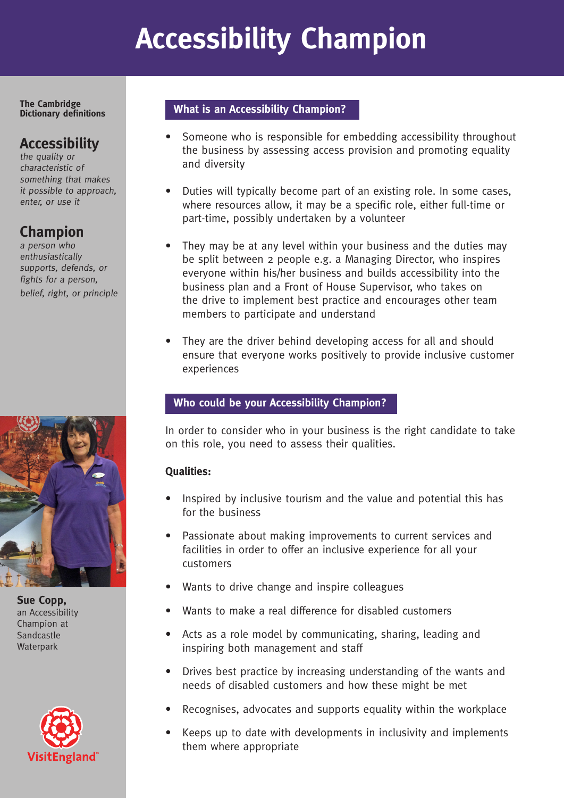# **Accessibility Champion**

**The Cambridge Dictionary definitions**

### **Accessibility**

the quality or characteristic of something that makes it possible to approach, enter, or use it

### **Champion**

a person who enthusiastically supports, defends, or fights for a person, belief, right, or principle



**Sue Copp,**  an Accessibility Champion at Sandcastle **Waterpark** 



#### **What is an Accessibility Champion?**

- Someone who is responsible for embedding accessibility throughout the business by assessing access provision and promoting equality and diversity
- Duties will typically become part of an existing role. In some cases, where resources allow, it may be a specific role, either full-time or part-time, possibly undertaken by a volunteer
- They may be at any level within your business and the duties may be split between 2 people e.g. a Managing Director, who inspires everyone within his/her business and builds accessibility into the business plan and a Front of House Supervisor, who takes on the drive to implement best practice and encourages other team members to participate and understand
- They are the driver behind developing access for all and should ensure that everyone works positively to provide inclusive customer experiences

#### **Who could be your Accessibility Champion?**

In order to consider who in your business is the right candidate to take on this role, you need to assess their qualities.

#### **Qualities:**

- Inspired by inclusive tourism and the value and potential this has for the business
- Passionate about making improvements to current services and facilities in order to offer an inclusive experience for all your customers
- Wants to drive change and inspire colleagues
- Wants to make a real difference for disabled customers
- Acts as a role model by communicating, sharing, leading and inspiring both management and staff
- Drives best practice by increasing understanding of the wants and needs of disabled customers and how these might be met
- Recognises, advocates and supports equality within the workplace
- Keeps up to date with developments in inclusivity and implements them where appropriate